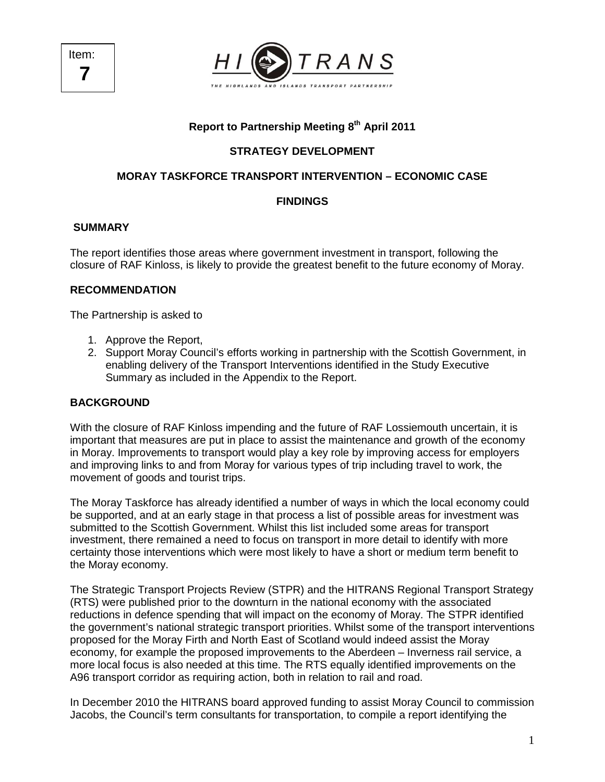

# **Report to Partnership Meeting 8th April 2011**

## **STRATEGY DEVELOPMENT**

## **MORAY TASKFORCE TRANSPORT INTERVENTION – ECONOMIC CASE**

## **FINDINGS**

### **SUMMARY**

The report identifies those areas where government investment in transport, following the closure of RAF Kinloss, is likely to provide the greatest benefit to the future economy of Moray.

### **RECOMMENDATION**

The Partnership is asked to

- 1. Approve the Report,
- 2. Support Moray Council's efforts working in partnership with the Scottish Government, in enabling delivery of the Transport Interventions identified in the Study Executive Summary as included in the Appendix to the Report.

### **BACKGROUND**

With the closure of RAF Kinloss impending and the future of RAF Lossiemouth uncertain, it is important that measures are put in place to assist the maintenance and growth of the economy in Moray. Improvements to transport would play a key role by improving access for employers and improving links to and from Moray for various types of trip including travel to work, the movement of goods and tourist trips.

The Moray Taskforce has already identified a number of ways in which the local economy could be supported, and at an early stage in that process a list of possible areas for investment was submitted to the Scottish Government. Whilst this list included some areas for transport investment, there remained a need to focus on transport in more detail to identify with more certainty those interventions which were most likely to have a short or medium term benefit to the Moray economy.

The Strategic Transport Projects Review (STPR) and the HITRANS Regional Transport Strategy (RTS) were published prior to the downturn in the national economy with the associated reductions in defence spending that will impact on the economy of Moray. The STPR identified the government's national strategic transport priorities. Whilst some of the transport interventions proposed for the Moray Firth and North East of Scotland would indeed assist the Moray economy, for example the proposed improvements to the Aberdeen – Inverness rail service, a more local focus is also needed at this time. The RTS equally identified improvements on the A96 transport corridor as requiring action, both in relation to rail and road.

In December 2010 the HITRANS board approved funding to assist Moray Council to commission Jacobs, the Council's term consultants for transportation, to compile a report identifying the